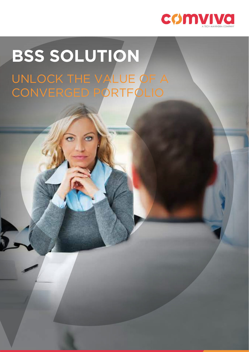

# **BSS SOLUTION** UNLOCK THE VALUE OF A CONVERGED PORTFOLIO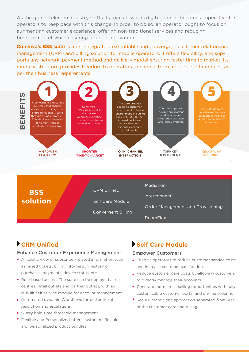As the global telecom industry shifts its focus towards digitization, it becomes imperative for operators to keep pace with this change. In order to do so, an operator ought to focus on augmenting customer experience, offering non-traditional services and reducing time-to-market while ensuring product innovation.

**Comviva's BSS suite** is a pre-integrated, extendable and convergent customer relationship management (CRM) and billing solution for mobile operators. It offers flexibility, and supports any network, payment method and delivery model ensuring faster time to market. Its modular structure provides freedom to operators to choose from a bouquet of modules, as per their business requirements.



CRM Unified Convergent Billing Self Care Module Mediation Interconnect Order Management and Provisioning RoamFlex **BSS solution**

# **CRM Unified**

#### Enhance Customer Experience Management

- A holistic view of subscriber-related information such as raised tickets, billing information, history of purchases, payments, device status, etc.
- Role-based access. The suite can be deployed at call centres, retail outlets and partner outlets, with an in-built self service module for account management.
- Automated dynamic Workflows for better ticket resolution and escalations.
- Query hold-time threshold management.
- Flexible and Personalized-offers customers flexible and personalized product bundles.

## **Self Care Module**

#### Empower Customers

- Enables operators to reduce customer service costs and increase customer satisfaction.
- Reduce customer care costs by allowing customers to directly manage their accounts.
- Generate more cross-selling opportunities with fully customizable customer portal and on-line ordering.
- Secure, standalone application separated from rest of the customer care and billing.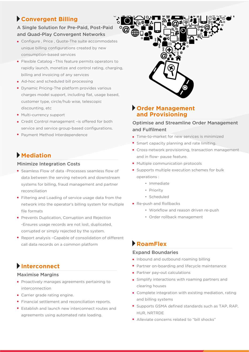# **Convergent Billing**

## A Single Solution for Pre-Paid, Post-Paid and Quad-Play Convergent Networks

- Configure , Price , Quote-The suite accommodates unique billing configurations created by new consumption-based services
- Flexible Catalog –This feature permits operators to rapidly launch, monetize and control rating, charging, billing and invoicing of any services
- Ad-hoc and scheduled bill processing
- Dynamic Pricing-The platform provides various charges model support, including flat, usage based, customer type, circle/hub wise, telescopic discounting, etc
- Multi-currency support
- Credit Control management –is offered for both service and service group-based configurations.
- Payment Method Interdependence

# **Mediation**

#### Minimize Integration Costs

- Seamless Flow of data -Processes seamless flow of data between the serving network and downstream systems for billing, fraud management and partner reconciliation
- Filtering and Loading of service usage data from the network into the operator's billing system for multiple file formats
- **Prevents Duplication, Corruption and Rejection** -Ensures usage records are not lost, duplicated, corrupted or simply rejected by the system.
- Report analysis –Capable of consolidation of different call data records on a common platform

## **Interconnect**

#### Maximise Margins

- Proactively manages agreements pertaining to interconnection
- Carrier grade rating engine.
- Financial settlement and reconciliation reports.
- Establish and launch new interconnect routes and agreements using automated rate loading.



## **Order Management and Provisioning**

#### Optimise and Streamline Order Management and Fulfilment

- Time-to-market for new services is minimized
- Smart capacity planning and rate limiting.
- Cross-network provisioning, transaction management and in flow- pause feature.
- Multiple communication protocols
- Supports multiple execution schemes for bulk operations :
	- Immediate
	- Priority
	- Scheduled
- Re-push and Rollbacks
	- Workflow and reason driven re-push
	- Order rollback management

# **RoamFlex**

#### Expand Boundaries

- Inbound and outbound roaming billing
- Partner on-boarding and lifecycle maintenance
- Partner pay-out calculations
- Simplify interactions with roaming partners and clearing houses
- Complete integration with existing mediation, rating and billing systems
- Supports GSMA defined standards such as TAP, RAP, HUR, NRTRDE
- Alleviate concerns related to "bill shocks"